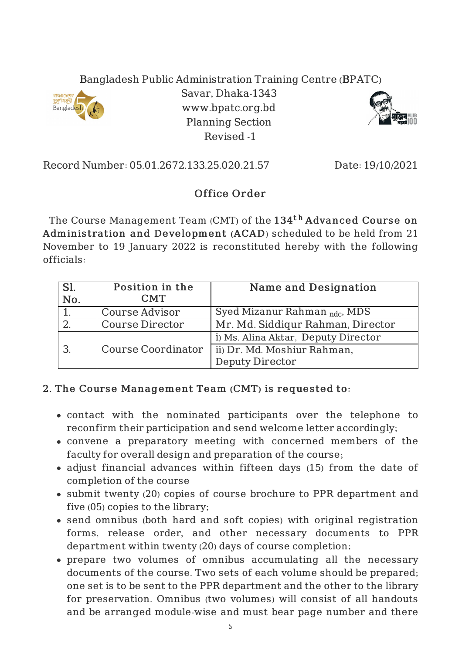## Bangladesh Public Administration Training Centre (BPATC)



Savar, Dhaka-1343 www.bpatc.org.bd Planning Section Revised -1



Record Number: 05.01.2672.133.25.020.21.57 Date: 19/10/2021

## Office Order

The Course Management Team  $\left($  CMT $\right)$  of the  $134^{\text{th}}$   $\boldsymbol{\rm{Advanced}}$   $\boldsymbol{\rm{Course}}$  on Adminis tration and Development (ACAD) scheduled to be held from 21 November to 19 January 2022 is reconstituted hereby with the following officials:

| Sl.<br>$\overline{N}$ o. | Position in the<br><b>CMT</b> | <b>Name and Designation</b>              |
|--------------------------|-------------------------------|------------------------------------------|
|                          | Course Advisor                | Syed Mizanur Rahman <sub>ndc</sub> , MDS |
|                          | <b>Course Director</b>        | Mr. Md. Siddigur Rahman, Director        |
|                          |                               | i) Ms. Alina Aktar, Deputy Director      |
|                          | <b>Course Coordinator</b>     | ii) Dr. Md. Moshiur Rahman,              |
|                          |                               | <b>Deputy Director</b>                   |

## 2. The Course Management Team (CMT) is requested to:

- contact with the nominated participants over the telephone to reconfirm their participation and send welcome letter accordingly;
- convene a preparatory meeting with concerned members of the faculty for overall design and preparation of the course;
- adjust financial advances within fifteen days (15) from the date of completion of the course
- submit twenty (20) copies of course brochure to PPR department and five (05) copies to the library;
- send omnibus (both hard and soft copies) with original registration forms, release order, and other necessary documents to PPR department within twenty (20) days of course completion;
- prepare two volumes of omnibus accumulating all the necessary documents of the course. Two sets of each volume should be prepared; one set is to be sent to the PPR department and the other to the library for preservation. Omnibus (two volumes) will consist of all handouts and be arranged module-wise and must bear page number and there